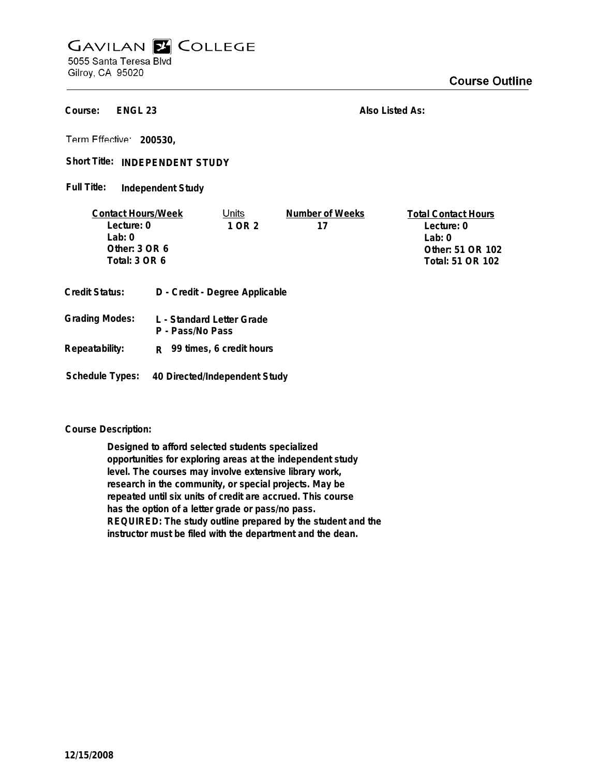## **GAVILAN E COLLEGE** 5055 Santa Teresa Blvd

Gilroy, CA 95020

**ENGL 23 Course:**

**Also Listed As:**

**200530,**

Short Title: INDEPENDENT STUDY

**Independent Study Full Title:**

| <b>Contact Hours/Week</b> |                                | Units                     | Number of Weeks | <b>Total Contact Hours</b> |
|---------------------------|--------------------------------|---------------------------|-----------------|----------------------------|
| Lecture: 0                |                                | 1 OR 2                    | 17              | Lecture: 0                 |
| Lab:0                     |                                |                           |                 | Lab: $0$                   |
| Other: $3$ OR $6$         |                                |                           |                 | Other: 51 OR 102           |
| Total: 3 OR 6             |                                |                           |                 | Total: 51 OR 102           |
| <b>Credit Status:</b>     | D - Credit - Degree Applicable |                           |                 |                            |
| <b>Grading Modes:</b>     |                                | L - Standard Letter Grade |                 |                            |

- **P Pass/No Pass Repeatability: R 99 times, 6 credit hours**
- **Schedule Types: 40 Directed/Independent Study**

**Course Description:**

**Designed to afford selected students specialized opportunities for exploring areas at the independent study level. The courses may involve extensive library work, research in the community, or special projects. May be repeated until six units of credit are accrued. This course has the option of a letter grade or pass/no pass. REQUIRED: The study outline prepared by the student and the instructor must be filed with the department and the dean.**